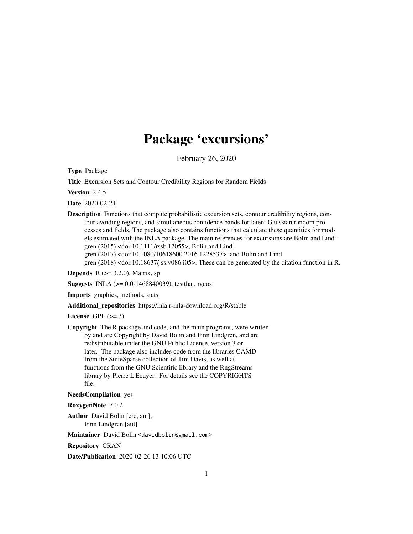# Package 'excursions'

February 26, 2020

<span id="page-0-0"></span>Type Package

Title Excursion Sets and Contour Credibility Regions for Random Fields

Version 2.4.5

Date 2020-02-24

Description Functions that compute probabilistic excursion sets, contour credibility regions, contour avoiding regions, and simultaneous confidence bands for latent Gaussian random processes and fields. The package also contains functions that calculate these quantities for models estimated with the INLA package. The main references for excursions are Bolin and Lindgren (2015) <doi:10.1111/rssb.12055>, Bolin and Lindgren (2017) <doi:10.1080/10618600.2016.1228537>, and Bolin and Lindgren (2018) <doi:10.18637/jss.v086.i05>. These can be generated by the citation function in R.

**Depends**  $R$  ( $>= 3.2.0$ ), Matrix, sp

**Suggests** INLA  $(>= 0.0 - 1468840039)$ , testthat, rgeos

Imports graphics, methods, stats

Additional\_repositories https://inla.r-inla-download.org/R/stable

License GPL  $(>= 3)$ 

Copyright The R package and code, and the main programs, were written by and are Copyright by David Bolin and Finn Lindgren, and are redistributable under the GNU Public License, version 3 or later. The package also includes code from the libraries CAMD from the SuiteSparse collection of Tim Davis, as well as functions from the GNU Scientific library and the RngStreams library by Pierre L'Ecuyer. For details see the COPYRIGHTS file.

NeedsCompilation yes

RoxygenNote 7.0.2

Author David Bolin [cre, aut], Finn Lindgren [aut]

Maintainer David Bolin <davidbolin@gmail.com>

Repository CRAN

Date/Publication 2020-02-26 13:10:06 UTC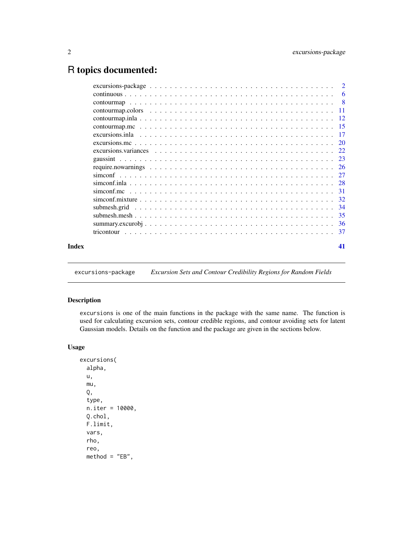## <span id="page-1-0"></span>R topics documented:

| Index | 41 |
|-------|----|

excursions-package *Excursion Sets and Contour Credibility Regions for Random Fields*

### <span id="page-1-1"></span>Description

excursions is one of the main functions in the package with the same name. The function is used for calculating excursion sets, contour credible regions, and contour avoiding sets for latent Gaussian models. Details on the function and the package are given in the sections below.

### Usage

```
excursions(
  alpha,
 u,
  mu,
  Q,
  type,
  n.iter = 10000,
 Q.chol,
  F.limit,
  vars,
  rho,
  reo,
  method = "EB",
```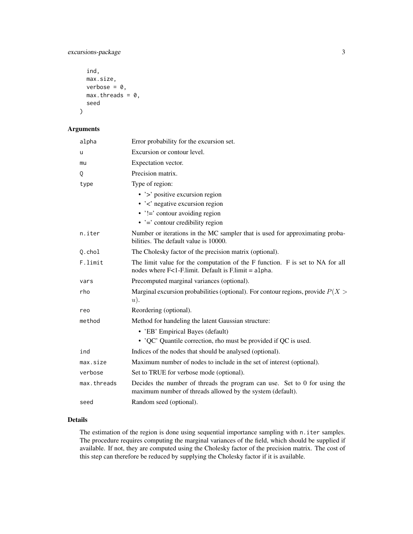excursions-package 3

```
ind,
max.size,
verbose = 0,
max.threads = 0,seed
```
### Arguments

)

| Error probability for the excursion set.                                                                                                 |
|------------------------------------------------------------------------------------------------------------------------------------------|
| Excursion or contour level.                                                                                                              |
| Expectation vector.                                                                                                                      |
| Precision matrix.                                                                                                                        |
| Type of region:                                                                                                                          |
| $\cdot$ $\cdot$ $\cdot$ positive excursion region                                                                                        |
| $\cdot$ $\cdot$ $\cdot$ negative excursion region                                                                                        |
| $\cdot$ '!=' contour avoiding region                                                                                                     |
| $\cdot$ $\cdot$ = $\cdot$ contour credibility region                                                                                     |
| Number or iterations in the MC sampler that is used for approximating proba-<br>bilities. The default value is 10000.                    |
| The Cholesky factor of the precision matrix (optional).                                                                                  |
| The limit value for the computation of the F function. F is set to NA for all<br>nodes where $F<1$ -F.limit. Default is F.limit = alpha. |
| Precomputed marginal variances (optional).                                                                                               |
| Marginal excursion probabilities (optional). For contour regions, provide $P(X >$<br>u).                                                 |
| Reordering (optional).                                                                                                                   |
| Method for handeling the latent Gaussian structure:                                                                                      |
| • 'EB' Empirical Bayes (default)                                                                                                         |
| • 'QC' Quantile correction, rho must be provided if QC is used.                                                                          |
| Indices of the nodes that should be analysed (optional).                                                                                 |
| Maximum number of nodes to include in the set of interest (optional).                                                                    |
| Set to TRUE for verbose mode (optional).                                                                                                 |
| Decides the number of threads the program can use. Set to 0 for using the<br>maximum number of threads allowed by the system (default).  |
| Random seed (optional).                                                                                                                  |
|                                                                                                                                          |

### Details

The estimation of the region is done using sequential importance sampling with n. iter samples. The procedure requires computing the marginal variances of the field, which should be supplied if available. If not, they are computed using the Cholesky factor of the precision matrix. The cost of this step can therefore be reduced by supplying the Cholesky factor if it is available.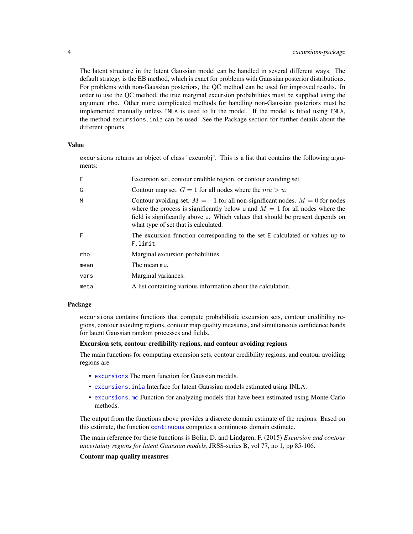The latent structure in the latent Gaussian model can be handled in several different ways. The default strategy is the EB method, which is exact for problems with Gaussian posterior distributions. For problems with non-Gaussian posteriors, the QC method can be used for improved results. In order to use the QC method, the true marginal excursion probabilities must be supplied using the argument rho. Other more complicated methods for handling non-Gaussian posteriors must be implemented manually unless INLA is used to fit the model. If the model is fitted using INLA, the method excursions.inla can be used. See the Package section for further details about the different options.

### Value

excursions returns an object of class "excurobj". This is a list that contains the following arguments:

| E.   | Excursion set, contour credible region, or contour avoiding set                                                                                                                                                                                                                             |
|------|---------------------------------------------------------------------------------------------------------------------------------------------------------------------------------------------------------------------------------------------------------------------------------------------|
| G    | Contour map set. $G = 1$ for all nodes where the $mu > u$ .                                                                                                                                                                                                                                 |
| М    | Contour avoiding set. $M = -1$ for all non-significant nodes. $M = 0$ for nodes<br>where the process is significantly below u and $M = 1$ for all nodes where the<br>field is significantly above u. Which values that should be present depends on<br>what type of set that is calculated. |
| F    | The excursion function corresponding to the set E calculated or values up to<br>F.limit                                                                                                                                                                                                     |
| rho  | Marginal excursion probabilities                                                                                                                                                                                                                                                            |
| mean | The mean mu.                                                                                                                                                                                                                                                                                |
| vars | Marginal variances.                                                                                                                                                                                                                                                                         |
| meta | A list containing various information about the calculation.                                                                                                                                                                                                                                |
|      |                                                                                                                                                                                                                                                                                             |

### Package

excursions contains functions that compute probabilistic excursion sets, contour credibility regions, contour avoiding regions, contour map quality measures, and simultaneous confidence bands for latent Gaussian random processes and fields.

### Excursion sets, contour credibility regions, and contour avoiding regions

The main functions for computing excursion sets, contour credibility regions, and contour avoiding regions are

- [excursions](#page-1-1) The main function for Gaussian models.
- [excursions.inla](#page-16-1) Interface for latent Gaussian models estimated using INLA.
- [excursions.mc](#page-19-1) Function for analyzing models that have been estimated using Monte Carlo methods.

The output from the functions above provides a discrete domain estimate of the regions. Based on this estimate, the function [continuous](#page-5-1) computes a continuous domain estimate.

The main reference for these functions is Bolin, D. and Lindgren, F. (2015) *Excursion and contour uncertainty regions for latent Gaussian models*, JRSS-series B, vol 77, no 1, pp 85-106.

#### Contour map quality measures

<span id="page-3-0"></span>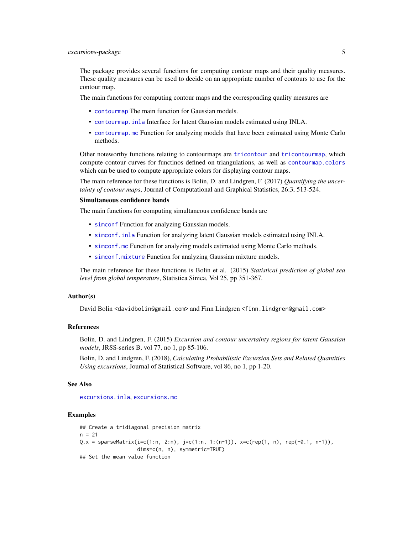<span id="page-4-0"></span>The package provides several functions for computing contour maps and their quality measures. These quality measures can be used to decide on an appropriate number of contours to use for the contour map.

The main functions for computing contour maps and the corresponding quality measures are

- [contourmap](#page-7-1) The main function for Gaussian models.
- [contourmap.inla](#page-11-1) Interface for latent Gaussian models estimated using INLA.
- [contourmap.mc](#page-14-1) Function for analyzing models that have been estimated using Monte Carlo methods.

Other noteworthy functions relating to contourmaps are [tricontour](#page-36-1) and [tricontourmap](#page-36-2), which compute contour curves for functinos defined on triangulations, as well as [contourmap.colors](#page-10-1) which can be used to compute appropriate colors for displaying contour maps.

The main reference for these functions is Bolin, D. and Lindgren, F. (2017) *Quantifying the uncertainty of contour maps*, Journal of Computational and Graphical Statistics, 26:3, 513-524.

### Simultaneous confidence bands

The main functions for computing simultaneous confidence bands are

- [simconf](#page-26-1) Function for analyzing Gaussian models.
- [simconf.inla](#page-27-1) Function for analyzing latent Gaussian models estimated using INLA.
- [simconf.mc](#page-30-1) Function for analyzing models estimated using Monte Carlo methods.
- [simconf.mixture](#page-31-1) Function for analyzing Gaussian mixture models.

The main reference for these functions is Bolin et al. (2015) *Statistical prediction of global sea level from global temperature*, Statistica Sinica, Vol 25, pp 351-367.

#### Author(s)

David Bolin <davidbolin@gmail.com> and Finn Lindgren <finn.lindgren@gmail.com>

#### References

Bolin, D. and Lindgren, F. (2015) *Excursion and contour uncertainty regions for latent Gaussian models*, JRSS-series B, vol 77, no 1, pp 85-106.

Bolin, D. and Lindgren, F. (2018), *Calculating Probabilistic Excursion Sets and Related Quantities Using excursions*, Journal of Statistical Software, vol 86, no 1, pp 1-20.

#### See Also

[excursions.inla](#page-16-1), [excursions.mc](#page-19-1)

```
## Create a tridiagonal precision matrix
n = 21Q.x = sparseMatrix(i=c(1:n, 2:n), j=c(1:n, 1:(n-1)), x=c(rep(1, n), rep(-0.1, n-1)),dims=c(n, n), symmetric=TRUE)
## Set the mean value function
```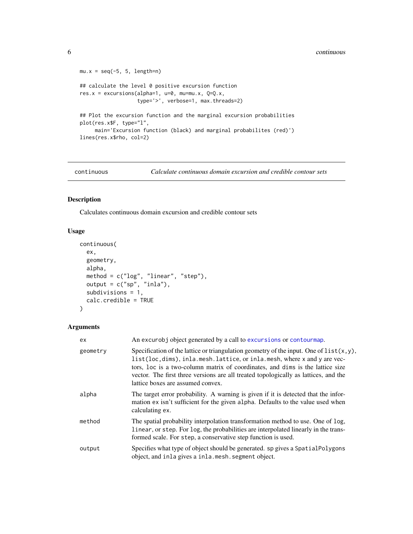```
mu.x = seq(-5, 5, length=n)## calculate the level 0 positive excursion function
res.x = excursions(alpha=1, u=0, mu=mu.x, Q=Q.x,
                  type='>', verbose=1, max.threads=2)
## Plot the excursion function and the marginal excursion probabilities
plot(res.x$F, type="l",
     main='Excursion function (black) and marginal probabilites (red)')
lines(res.x$rho, col=2)
```
<span id="page-5-1"></span>

continuous *Calculate continuous domain excursion and credible contour sets*

### Description

Calculates continuous domain excursion and credible contour sets

### Usage

```
continuous(
  ex,
  geometry,
  alpha,
 method = c("log", "linear", "step"),
 output = c("sp", "inla"),subdivisions = 1,
  calc.credible = TRUE
\mathcal{L}
```

| ex.      | An excurobj object generated by a call to excursions or contourmap.                                                                                                                                                                                                                                                                                                                 |
|----------|-------------------------------------------------------------------------------------------------------------------------------------------------------------------------------------------------------------------------------------------------------------------------------------------------------------------------------------------------------------------------------------|
| geometry | Specification of the lattice or triangulation geometry of the input. One of $list(x, y)$ ,<br>list(loc, dims), inla.mesh.lattice, or inla.mesh, where x and y are vec-<br>tors, loc is a two-column matrix of coordinates, and dims is the lattice size<br>vector. The first three versions are all treated topologically as lattices, and the<br>lattice boxes are assumed convex. |
| alpha    | The target error probability. A warning is given if it is detected that the infor-<br>mation ex isn't sufficient for the given alpha. Defaults to the value used when<br>calculating ex.                                                                                                                                                                                            |
| method   | The spatial probability interpolation transformation method to use. One of log,<br>linear, or step. For log, the probabilities are interpolated linearly in the trans-<br>formed scale. For step, a conservative step function is used.                                                                                                                                             |
| output   | Specifies what type of object should be generated. sp gives a Spatial Polygons<br>object, and inla gives a inla.mesh. segment object.                                                                                                                                                                                                                                               |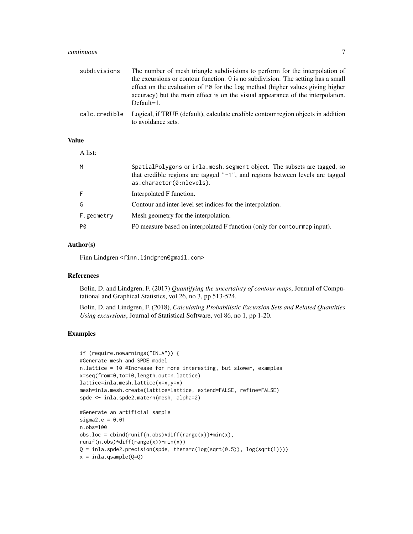#### continuous 7

| subdivisions  | The number of mesh triangle subdivisions to perform for the interpolation of<br>the excursions or contour function. 0 is no subdivision. The setting has a small<br>effect on the evaluation of P0 for the log method (higher values giving higher<br>accuracy) but the main effect is on the visual appearance of the interpolation.<br>$Default=1$ . |
|---------------|--------------------------------------------------------------------------------------------------------------------------------------------------------------------------------------------------------------------------------------------------------------------------------------------------------------------------------------------------------|
| calc.credible | Logical, if TRUE (default), calculate credible contour region objects in addition<br>to avoidance sets.                                                                                                                                                                                                                                                |

#### Value

| A list:    |                                                                                                                                                                                        |
|------------|----------------------------------------------------------------------------------------------------------------------------------------------------------------------------------------|
| M          | SpatialPolygons or inla.mesh.segment object. The subsets are tagged, so<br>that credible regions are tagged $"$ -1", and regions between levels are tagged<br>as.character(0:nlevels). |
|            | Interpolated F function.                                                                                                                                                               |
| G          | Contour and inter-level set indices for the interpolation.                                                                                                                             |
| F.geometry | Mesh geometry for the interpolation.                                                                                                                                                   |
| P0         | PO measure based on interpolated F function (only for contourmap input).                                                                                                               |

### Author(s)

Finn Lindgren <finn.lindgren@gmail.com>

#### References

Bolin, D. and Lindgren, F. (2017) *Quantifying the uncertainty of contour maps*, Journal of Computational and Graphical Statistics, vol 26, no 3, pp 513-524.

Bolin, D. and Lindgren, F. (2018), *Calculating Probabilistic Excursion Sets and Related Quantities Using excursions*, Journal of Statistical Software, vol 86, no 1, pp 1-20.

```
if (require.nowarnings("INLA")) {
#Generate mesh and SPDE model
n.lattice = 10 #Increase for more interesting, but slower, examples
x=seq(from=0,to=10,length.out=n.lattice)
lattice=inla.mesh.lattice(x=x,y=x)
mesh=inla.mesh.create(lattice=lattice, extend=FALSE, refine=FALSE)
spde <- inla.spde2.matern(mesh, alpha=2)
#Generate an artificial sample
sigma2.e = 0.01n.obs=100
obs.loc = cbind(runif(n.obs)*diff(range(x))+min(x),runif(n.obs)*diff(range(x))+min(x))
Q = inla.\text{spde2.} precision(spde, theta=c(log(sqrt(0.5)), log(sqrt(1))))
```

```
x = inla.gsample(Q=Q)
```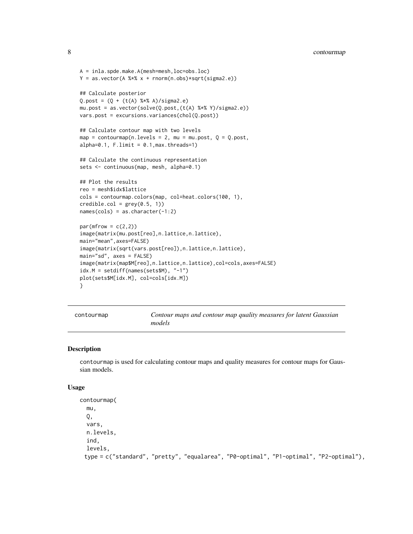```
A = inla.spde.make.A(mesh=mesh,loc=obs.loc)
Y = as.vector(A %*X x + rnorm(n.obs)*sqrt(sigma2.e))## Calculate posterior
Q.post = (Q + (t(A) %*) A)/sigma2.e)
mu.post = as.vector(solve(Q.post,(t(A) %*% Y)/sigma2.e))
vars.post = excursions.variances(chol(Q.post))
## Calculate contour map with two levels
map = contourmap(n.levels = 2, mu = mu.post, Q = Q.post,
alpha=0.1, Fuimit = 0.1, max.threads=1)
## Calculate the continuous representation
sets <- continuous(map, mesh, alpha=0.1)
## Plot the results
reo = mesh$idx$lattice
cols = contourmap.colors(map, col=heat.colors(100, 1),
credible.col = grey(0.5, 1))names(cols) = as.character(-1:2)
par(mfrow = c(2,2))image(matrix(mu.post[reo],n.lattice,n.lattice),
main="mean",axes=FALSE)
image(matrix(sqrt(vars.post[reo]),n.lattice,n.lattice),
main="sd", axes = FALSE)
image(matrix(map$M[reo],n.lattice,n.lattice),col=cols,axes=FALSE)
idx.M = setdiff(names(sets$M), "-1")
plot(sets$M[idx.M], col=cols[idx.M])
}
```
<span id="page-7-1"></span>

| contourmap | Contour maps and contour map quality measures for latent Gaussian |
|------------|-------------------------------------------------------------------|
|            | models                                                            |

#### Description

contourmap is used for calculating contour maps and quality measures for contour maps for Gaussian models.

#### Usage

```
contourmap(
  mu,
  \mathsf{O}_{\bullet}vars,
  n.levels,
  ind,
  levels,
 type = c("standard", "pretty", "equalarea", "P0-optimal", "P1-optimal", "P2-optimal"),
```
<span id="page-7-0"></span>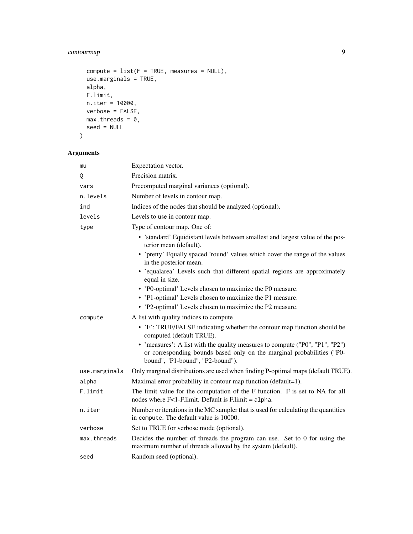### contourmap 9

```
compute = list(F = TRUE, measures = NULL),use.marginals = TRUE,
 alpha,
 F.limit,
 n.iter = 10000,
 verbose = FALSE,
 max.threads = 0,seed = NULL
\mathcal{L}
```

| mu            | Expectation vector.                                                                                                                                                                        |
|---------------|--------------------------------------------------------------------------------------------------------------------------------------------------------------------------------------------|
| Q             | Precision matrix.                                                                                                                                                                          |
| vars          | Precomputed marginal variances (optional).                                                                                                                                                 |
| n.levels      | Number of levels in contour map.                                                                                                                                                           |
| ind           | Indices of the nodes that should be analyzed (optional).                                                                                                                                   |
| levels        | Levels to use in contour map.                                                                                                                                                              |
| type          | Type of contour map. One of:                                                                                                                                                               |
|               | • 'standard' Equidistant levels between smallest and largest value of the pos-<br>terior mean (default).                                                                                   |
|               | • 'pretty' Equally spaced 'round' values which cover the range of the values<br>in the posterior mean.                                                                                     |
|               | • 'equalarea' Levels such that different spatial regions are approximately<br>equal in size.                                                                                               |
|               | • 'P0-optimal' Levels chosen to maximize the P0 measure.                                                                                                                                   |
|               | • 'P1-optimal' Levels chosen to maximize the P1 measure.                                                                                                                                   |
|               | • 'P2-optimal' Levels chosen to maximize the P2 measure.                                                                                                                                   |
| compute       | A list with quality indices to compute                                                                                                                                                     |
|               | • 'F': TRUE/FALSE indicating whether the contour map function should be<br>computed (default TRUE).                                                                                        |
|               | • 'measures': A list with the quality measures to compute ("P0", "P1", "P2")<br>or corresponding bounds based only on the marginal probabilities ("P0-<br>bound", "P1-bound", "P2-bound"). |
| use.marginals | Only marginal distributions are used when finding P-optimal maps (default TRUE).                                                                                                           |
| alpha         | Maximal error probability in contour map function (default=1).                                                                                                                             |
| F.limit       | The limit value for the computation of the F function. F is set to NA for all<br>nodes where $F<1$ -F.limit. Default is F.limit = alpha.                                                   |
| n.iter        | Number or iterations in the MC sampler that is used for calculating the quantities<br>in compute. The default value is 10000.                                                              |
| verbose       | Set to TRUE for verbose mode (optional).                                                                                                                                                   |
| max.threads   | Decides the number of threads the program can use. Set to 0 for using the<br>maximum number of threads allowed by the system (default).                                                    |
| seed          | Random seed (optional).                                                                                                                                                                    |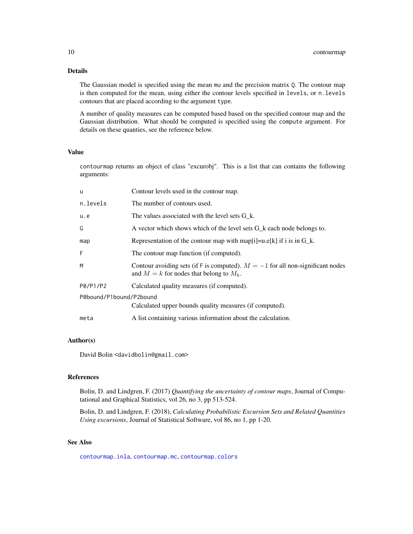### <span id="page-9-0"></span>Details

The Gaussian model is specified using the mean mu and the precision matrix Q. The contour map is then computed for the mean, using either the contour levels specified in levels, or n.levels contours that are placed according to the argument type.

A number of quality measures can be computed based based on the specified contour map and the Gaussian distribution. What should be computed is specified using the compute argument. For details on these quanties, see the reference below.

#### Value

contourmap returns an object of class "excurobj". This is a list that can contains the following arguments:

| u                       | Contour levels used in the contour map.                                                                                          |  |
|-------------------------|----------------------------------------------------------------------------------------------------------------------------------|--|
| n.levels                | The number of contours used.                                                                                                     |  |
| u.e                     | The values associated with the level sets G k.                                                                                   |  |
| G                       | A vector which shows which of the level sets $G_k$ each node belongs to.                                                         |  |
| map                     | Representation of the contour map with map[i]=u.e[k] if i is in $G_k$ .                                                          |  |
| F                       | The contour map function (if computed).                                                                                          |  |
| М                       | Contour avoiding sets (if F is computed). $M = -1$ for all non-significant nodes<br>and $M = k$ for nodes that belong to $M_k$ . |  |
| P0/P1/P2                | Calculated quality measures (if computed).                                                                                       |  |
| P0bound/P1bound/P2bound |                                                                                                                                  |  |
|                         | Calculated upper bounds quality measures (if computed).                                                                          |  |
| meta                    | A list containing various information about the calculation.                                                                     |  |

### Author(s)

David Bolin <davidbolin@gmail.com>

### References

Bolin, D. and Lindgren, F. (2017) *Quantifying the uncertainty of contour maps*, Journal of Computational and Graphical Statistics, vol 26, no 3, pp 513-524.

Bolin, D. and Lindgren, F. (2018), *Calculating Probabilistic Excursion Sets and Related Quantities Using excursions*, Journal of Statistical Software, vol 86, no 1, pp 1-20.

### See Also

[contourmap.inla](#page-11-1), [contourmap.mc](#page-14-1), [contourmap.colors](#page-10-1)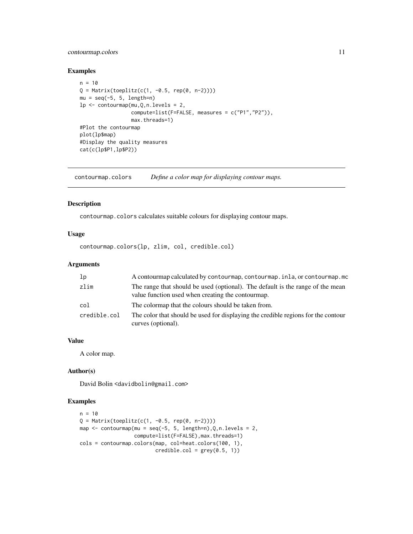### <span id="page-10-0"></span>contourmap.colors 11

### Examples

```
n = 10Q = Matrix(toeplitz(c(1, -0.5, rep(0, n-2))))mu = seq(-5, 5, length=n)lp \leftarrow \text{contourmap}(mu, Q, n. levels = 2,compute=list(F=FALSE, measures = c("P1","P2")),
                  max.threads=1)
#Plot the contourmap
plot(lp$map)
#Display the quality measures
cat(c(lp$P1,lp$P2))
```
<span id="page-10-1"></span>contourmap.colors *Define a color map for displaying contour maps.*

### Description

contourmap.colors calculates suitable colours for displaying contour maps.

### Usage

contourmap.colors(lp, zlim, col, credible.col)

### Arguments

| 1 <sub>p</sub> | A contourmap calculated by contourmap, contourmap. inla, or contourmap. mo                                                          |
|----------------|-------------------------------------------------------------------------------------------------------------------------------------|
| zlim           | The range that should be used (optional). The default is the range of the mean<br>value function used when creating the contourmap. |
| col            | The colormap that the colours should be taken from.                                                                                 |
| credible.col   | The color that should be used for displaying the credible regions for the contour<br>curves (optional).                             |

### Value

A color map.

### Author(s)

David Bolin <davidbolin@gmail.com>

```
n = 10Q = Matrix(toeplitz(c(1, -0.5, rep(0, n-2))))map \le - contourmap(mu = seq(-5, 5, length=n), Q, n. levels = 2,
                   compute=list(F=FALSE),max.threads=1)
cols = contourmap.colors(map, col=heat.colors(100, 1),
                           \text{credible}.\text{col} = \text{grey}(0.5, 1)
```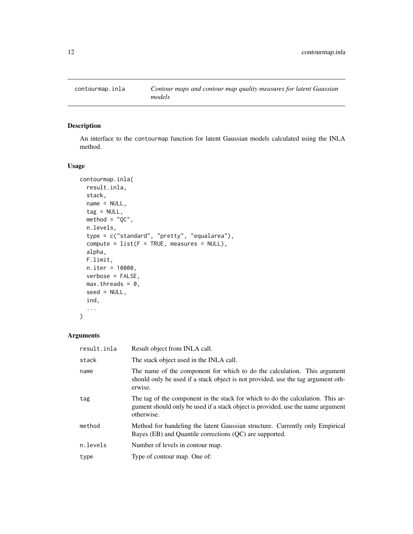<span id="page-11-1"></span><span id="page-11-0"></span>

### Description

An interface to the contourmap function for latent Gaussian models calculated using the INLA method.

### Usage

```
contourmap.inla(
  result.inla,
  stack,
 name = NULL,
  tag = NULL,\text{method} = "QC",n.levels,
  type = c("standard", "pretty", "equalarea"),
  compute = list(F = TRUE, measures = NULL),alpha,
 F.limit,
 n.iter = 10000,
 verbose = FALSE,
 max.threads = 0,seed = NULL,
  ind,
  ...
)
```

| result.inla | Result object from INLA call.                                                                                                                                                    |
|-------------|----------------------------------------------------------------------------------------------------------------------------------------------------------------------------------|
| stack       | The stack object used in the INLA call.                                                                                                                                          |
| name        | The name of the component for which to do the calculation. This argument<br>should only be used if a stack object is not provided, use the tag argument oth-<br>erwise.          |
| tag         | The tag of the component in the stack for which to do the calculation. This ar-<br>gument should only be used if a stack object is provided, use the name argument<br>otherwise. |
| method      | Method for handeling the latent Gaussian structure. Currently only Empirical<br>Bayes (EB) and Quantile corrections (QC) are supported.                                          |
| n.levels    | Number of levels in contour map.                                                                                                                                                 |
| type        | Type of contour map. One of:                                                                                                                                                     |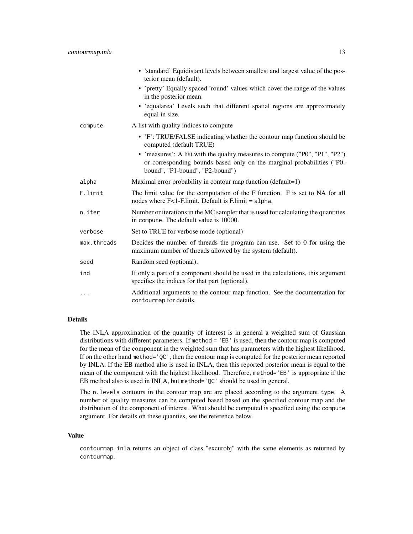|             | • 'standard' Equidistant levels between smallest and largest value of the pos-<br>terior mean (default).                                                                                  |
|-------------|-------------------------------------------------------------------------------------------------------------------------------------------------------------------------------------------|
|             | • 'pretty' Equally spaced 'round' values which cover the range of the values<br>in the posterior mean.                                                                                    |
|             | · 'equalarea' Levels such that different spatial regions are approximately<br>equal in size.                                                                                              |
| compute     | A list with quality indices to compute                                                                                                                                                    |
|             | • 'F': TRUE/FALSE indicating whether the contour map function should be<br>computed (default TRUE)                                                                                        |
|             | • 'measures': A list with the quality measures to compute ("P0", "P1", "P2")<br>or corresponding bounds based only on the marginal probabilities ("P0-<br>bound", "P1-bound", "P2-bound") |
| alpha       | Maximal error probability in contour map function $(\text{default}=1)$                                                                                                                    |
| F.limit     | The limit value for the computation of the F function. F is set to NA for all<br>nodes where $F<1$ -F.limit. Default is F.limit = alpha.                                                  |
| n.iter      | Number or iterations in the MC sampler that is used for calculating the quantities<br>in compute. The default value is 10000.                                                             |
| verbose     | Set to TRUE for verbose mode (optional)                                                                                                                                                   |
| max.threads | Decides the number of threads the program can use. Set to 0 for using the<br>maximum number of threads allowed by the system (default).                                                   |
| seed        | Random seed (optional).                                                                                                                                                                   |
| ind         | If only a part of a component should be used in the calculations, this argument<br>specifies the indices for that part (optional).                                                        |
| .           | Additional arguments to the contour map function. See the documentation for<br>contourmap for details.                                                                                    |

### Details

The INLA approximation of the quantity of interest is in general a weighted sum of Gaussian distributions with different parameters. If method = 'EB' is used, then the contour map is computed for the mean of the component in the weighted sum that has parameters with the highest likelihood. If on the other hand method='QC', then the contour map is computed for the posterior mean reported by INLA. If the EB method also is used in INLA, then this reported posterior mean is equal to the mean of the component with the highest likelihood. Therefore, method='EB' is appropriate if the EB method also is used in INLA, but method='QC' should be used in general.

The n.levels contours in the contour map are are placed according to the argument type. A number of quality measures can be computed based based on the specified contour map and the distribution of the component of interest. What should be computed is specified using the compute argument. For details on these quanties, see the reference below.

#### Value

contourmap.inla returns an object of class "excurobj" with the same elements as returned by contourmap.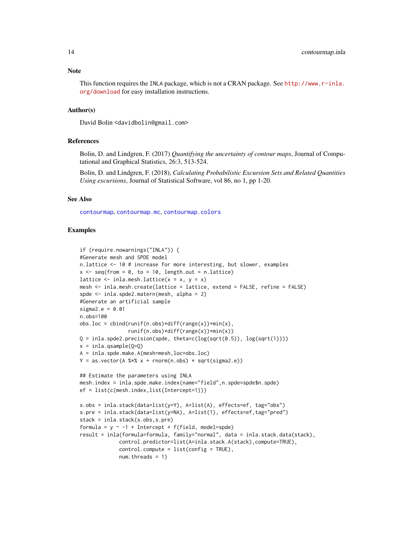<span id="page-13-0"></span>**Note** 

This function requires the INLA package, which is not a CRAN package. See [http://www.r-inla.](http://www.r-inla.org/download) [org/download](http://www.r-inla.org/download) for easy installation instructions.

### Author(s)

David Bolin <davidbolin@gmail.com>

#### References

Bolin, D. and Lindgren, F. (2017) *Quantifying the uncertainty of contour maps*, Journal of Computational and Graphical Statistics, 26:3, 513-524.

Bolin, D. and Lindgren, F. (2018), *Calculating Probabilistic Excursion Sets and Related Quantities Using excursions*, Journal of Statistical Software, vol 86, no 1, pp 1-20.

#### See Also

[contourmap](#page-7-1), [contourmap.mc](#page-14-1), [contourmap.colors](#page-10-1)

```
if (require.nowarnings("INLA")) {
#Generate mesh and SPDE model
n.lattice <- 10 # increase for more interesting, but slower, examples
x \leq -\text{seq}(\text{from} = \emptyset, \text{to} = 10, \text{length.out} = \text{n}.\text{lattice})lattice \le inla.mesh.lattice(x = x, y = x)
mesh <- inla.mesh.create(lattice = lattice, extend = FALSE, refine = FALSE)
spde <- inla.spde2.matern(mesh, alpha = 2)
#Generate an artificial sample
sigma2.e = 0.01n.obs=100
obs.loc = cbind(runif(n.obs)*diff(range(x))+min(x),runif(n.obs)*diff(range(x))+min(x))
Q = inla.\text{spde2.} precision(spde, theta=c(log(sqrt(0.5)), log(sqrt(1))))
x = inla.gsample(Q=Q)A = inla.spde.make.A(mesh=mesh,loc=obs.loc)
Y = as.vector(A %*X x + rnorm(n.obs) * sqrt(sigma2.e))## Estimate the parameters using INLA
mesh.index = inla.spde.make.index(name="field",n.spde=spde$n.spde)
ef = list(c(mesh.index,list(Intercept=1)))
s.obs = inla.stack(data=list(y=Y), A=list(A), effects=ef, tag="obs")
s.pre = inla.stack(data=list(y=NA), A=list(1), effects=ef,tag="pred")
stack = inla.stack(s.obs,s.pre)
formula = y \sim -1 + Intercept + f(field, model=spde)
result = inla(formula=formula, family="normal", data = inla.stack.data(stack),
             control.predictor=list(A=inla.stack.A(stack),compute=TRUE),
             control.compute = list(config = TRUE),
             num.threads = 1)
```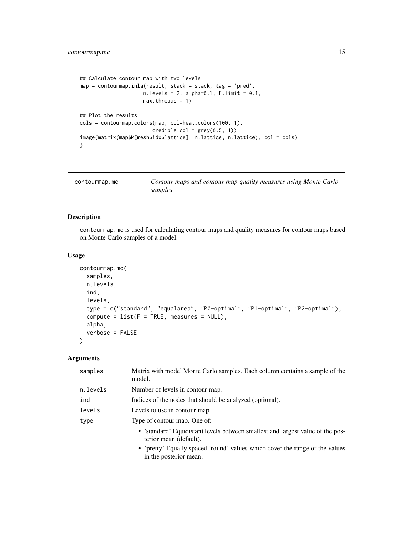```
## Calculate contour map with two levels
map = contourmap.inla(result, stack = stack, tag = 'pred',
                      n. levels = 2, alpha=0.1, F. limit = 0.1,max.threads = 1)
## Plot the results
cols = contourmap.colors(map, col=heat.colors(100, 1),
                         \text{credible}.\text{col} = \text{grey}(0.5, 1)image(matrix(map$M[mesh$idx$lattice], n.lattice, n.lattice), col = cols)
}
```
<span id="page-14-1"></span>

| contourmap.mc | Contour maps and contour map quality measures using Monte Carlo |
|---------------|-----------------------------------------------------------------|
|               | samples                                                         |

### Description

contourmap.mc is used for calculating contour maps and quality measures for contour maps based on Monte Carlo samples of a model.

### Usage

```
contourmap.mc(
  samples,
  n.levels,
  ind,
  levels,
  type = c("standard", "equalarea", "P0-optimal", "P1-optimal", "P2-optimal"),
  compute = list(F = TRUE, measures = NULL),alpha,
  verbose = FALSE
\mathcal{L}
```

| samples  | Matrix with model Monte Carlo samples. Each column contains a sample of the<br>model.                    |
|----------|----------------------------------------------------------------------------------------------------------|
| n.levels | Number of levels in contour map.                                                                         |
| ind      | Indices of the nodes that should be analyzed (optional).                                                 |
| levels   | Levels to use in contour map.                                                                            |
| type     | Type of contour map. One of:                                                                             |
|          | • 'standard' Equidistant levels between smallest and largest value of the pos-<br>terior mean (default). |
|          | • 'pretty' Equally spaced 'round' values which cover the range of the values<br>in the posterior mean.   |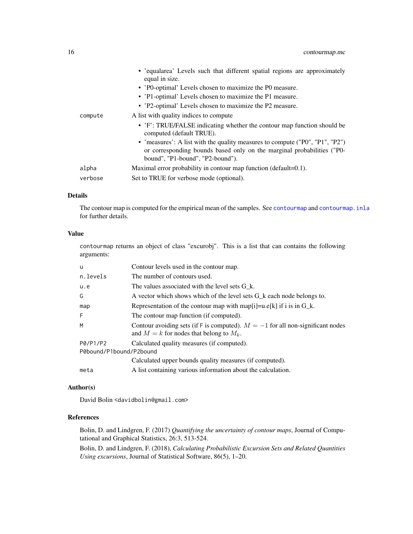<span id="page-15-0"></span>

|         | • 'equalarea' Levels such that different spatial regions are approximately<br>equal in size.<br>• 'P0-optimal' Levels chosen to maximize the P0 measure.<br>• 'P1-optimal' Levels chosen to maximize the P1 measure.<br>• 'P2-optimal' Levels chosen to maximize the P2 measure. |
|---------|----------------------------------------------------------------------------------------------------------------------------------------------------------------------------------------------------------------------------------------------------------------------------------|
| compute | A list with quality indices to compute<br>• 'F': TRUE/FALSE indicating whether the contour map function should be<br>computed (default TRUE).                                                                                                                                    |
|         | • 'measures': A list with the quality measures to compute ("P0", "P1", "P2")<br>or corresponding bounds based only on the marginal probabilities ("P0-<br>bound", "P1-bound", "P2-bound").                                                                                       |
| alpha   | Maximal error probability in contour map function (default=0.1).                                                                                                                                                                                                                 |
| verbose | Set to TRUE for verbose mode (optional).                                                                                                                                                                                                                                         |

#### Details

The contour map is computed for the empirical mean of the samples. See [contourmap](#page-7-1) and [contourmap.inla](#page-11-1) for further details.

### Value

contourmap returns an object of class "excurobj". This is a list that can contains the following arguments:

| u                       | Contour levels used in the contour map.                                                                                          |  |
|-------------------------|----------------------------------------------------------------------------------------------------------------------------------|--|
| n.levels                | The number of contours used.                                                                                                     |  |
| u.e                     | The values associated with the level sets G k.                                                                                   |  |
| G                       | A vector which shows which of the level sets $G_k$ each node belongs to.                                                         |  |
| map                     | Representation of the contour map with map $[i] = u.e[k]$ if i is in G k.                                                        |  |
| F                       | The contour map function (if computed).                                                                                          |  |
| M                       | Contour avoiding sets (if F is computed). $M = -1$ for all non-significant nodes<br>and $M = k$ for nodes that belong to $M_k$ . |  |
| P0/P1/P2                | Calculated quality measures (if computed).                                                                                       |  |
| P0bound/P1bound/P2bound |                                                                                                                                  |  |
|                         | Calculated upper bounds quality measures (if computed).                                                                          |  |
| meta                    | A list containing various information about the calculation.                                                                     |  |

#### Author(s)

David Bolin <davidbolin@gmail.com>

### References

Bolin, D. and Lindgren, F. (2017) *Quantifying the uncertainty of contour maps*, Journal of Computational and Graphical Statistics, 26:3, 513-524.

Bolin, D. and Lindgren, F. (2018), *Calculating Probabilistic Excursion Sets and Related Quantities Using excursions*, Journal of Statistical Software, 86(5), 1–20.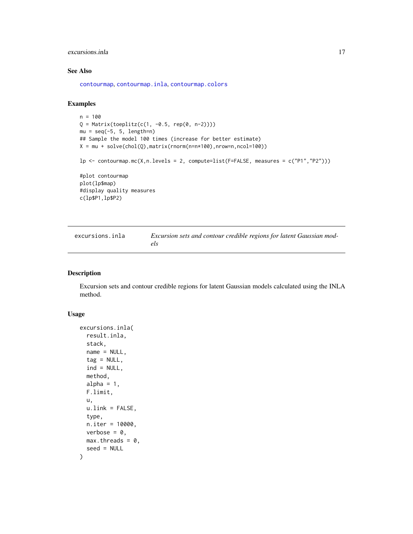### <span id="page-16-0"></span>excursions.inla 17

### See Also

[contourmap](#page-7-1), [contourmap.inla](#page-11-1), [contourmap.colors](#page-10-1)

### Examples

```
n = 100
Q = Matrix(toeplitz(c(1, -0.5, rep(0, n-2))))mu = seq(-5, 5, length=n)## Sample the model 100 times (increase for better estimate)
X = mu + solve(chol(Q), matrix(rnorm(n=n*100), nrow=n, ncol=100))lp \leftarrow contourmap.mc(X,n.levels = 2, compute-list(F=FALSE, measures = c("P1", "P2"))#plot contourmap
plot(lp$map)
#display quality measures
c(lp$P1,lp$P2)
```
<span id="page-16-1"></span>

| excursions.inla | Excursion sets and contour credible regions for latent Gaussian mod- |
|-----------------|----------------------------------------------------------------------|
|                 | els                                                                  |

### Description

Excursion sets and contour credible regions for latent Gaussian models calculated using the INLA method.

#### Usage

```
excursions.inla(
  result.inla,
  stack,
  name = NULL,
  tag = NULL,ind = NULL,method,
  alpha = 1,
  F.limit,
  u,
 u.link = FALSE,
  type,
 n.iter = 10000,
 verbose = 0,
 max.threads = 0,seed = NULL
)
```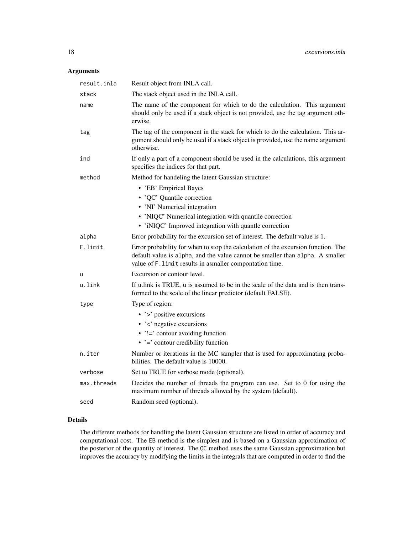### Arguments

| result.inla | Result object from INLA call.                                                                                                                                                                                                  |
|-------------|--------------------------------------------------------------------------------------------------------------------------------------------------------------------------------------------------------------------------------|
| stack       | The stack object used in the INLA call.                                                                                                                                                                                        |
| name        | The name of the component for which to do the calculation. This argument<br>should only be used if a stack object is not provided, use the tag argument oth-<br>erwise.                                                        |
| tag         | The tag of the component in the stack for which to do the calculation. This ar-<br>gument should only be used if a stack object is provided, use the name argument<br>otherwise.                                               |
| ind         | If only a part of a component should be used in the calculations, this argument<br>specifies the indices for that part.                                                                                                        |
| method      | Method for handeling the latent Gaussian structure:                                                                                                                                                                            |
|             | • 'EB' Empirical Bayes<br>• 'QC' Quantile correction<br>• 'NI' Numerical integration<br>• 'NIQC' Numerical integration with quantile correction<br>• 'iNIQC' Improved integration with quantle correction                      |
| alpha       | Error probability for the excursion set of interest. The default value is 1.                                                                                                                                                   |
| F.limit     | Error probability for when to stop the calculation of the excursion function. The<br>default value is alpha, and the value cannot be smaller than alpha. A smaller<br>value of F. limit results in asmaller compontation time. |
| u           | Excursion or contour level.                                                                                                                                                                                                    |
| u.link      | If u.link is TRUE, u is assumed to be in the scale of the data and is then trans-<br>formed to the scale of the linear predictor (default FALSE).                                                                              |
| type        | Type of region:                                                                                                                                                                                                                |
|             | • '>' positive excursions                                                                                                                                                                                                      |
|             | $\cdot$ $\cdot$ $\cdot$ negative excursions                                                                                                                                                                                    |
|             | $\cdot$ '!=' contour avoiding function                                                                                                                                                                                         |
|             | $\bullet$ '=' contour credibility function                                                                                                                                                                                     |
| n.iter      | Number or iterations in the MC sampler that is used for approximating proba-<br>bilities. The default value is 10000.                                                                                                          |
| verbose     | Set to TRUE for verbose mode (optional).                                                                                                                                                                                       |
| max.threads | Decides the number of threads the program can use. Set to 0 for using the<br>maximum number of threads allowed by the system (default).                                                                                        |
| seed        | Random seed (optional).                                                                                                                                                                                                        |

### Details

The different methods for handling the latent Gaussian structure are listed in order of accuracy and computational cost. The EB method is the simplest and is based on a Gaussian approximation of the posterior of the quantity of interest. The QC method uses the same Gaussian approximation but improves the accuracy by modifying the limits in the integrals that are computed in order to find the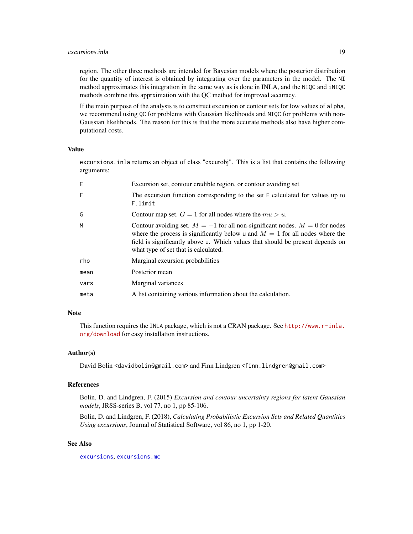#### <span id="page-18-0"></span>excursions.inla 19

region. The other three methods are intended for Bayesian models where the posterior distribution for the quantity of interest is obtained by integrating over the parameters in the model. The NI method approximates this integration in the same way as is done in INLA, and the NIQC and iNIQC methods combine this apprximation with the QC method for improved accuracy.

If the main purpose of the analysis is to construct excursion or contour sets for low values of alpha, we recommend using QC for problems with Gaussian likelihoods and NIQC for problems with non-Gaussian likelihoods. The reason for this is that the more accurate methods also have higher computational costs.

### Value

excursions.inla returns an object of class "excurobj". This is a list that contains the following arguments:

| E    | Excursion set, contour credible region, or contour avoiding set                                                                                                                                                                                                                             |
|------|---------------------------------------------------------------------------------------------------------------------------------------------------------------------------------------------------------------------------------------------------------------------------------------------|
| F    | The excursion function corresponding to the set E calculated for values up to<br>F.limit                                                                                                                                                                                                    |
| G    | Contour map set. $G = 1$ for all nodes where the $mu > u$ .                                                                                                                                                                                                                                 |
| M    | Contour avoiding set. $M = -1$ for all non-significant nodes. $M = 0$ for nodes<br>where the process is significantly below u and $M = 1$ for all nodes where the<br>field is significantly above u. Which values that should be present depends on<br>what type of set that is calculated. |
| rho  | Marginal excursion probabilities                                                                                                                                                                                                                                                            |
| mean | Posterior mean                                                                                                                                                                                                                                                                              |
| vars | Marginal variances                                                                                                                                                                                                                                                                          |
| meta | A list containing various information about the calculation.                                                                                                                                                                                                                                |

#### Note

This function requires the INLA package, which is not a CRAN package. See [http://www.r-inla.](http://www.r-inla.org/download) [org/download](http://www.r-inla.org/download) for easy installation instructions.

### Author(s)

David Bolin <davidbolin@gmail.com> and Finn Lindgren <finn.lindgren@gmail.com>

#### References

Bolin, D. and Lindgren, F. (2015) *Excursion and contour uncertainty regions for latent Gaussian models*, JRSS-series B, vol 77, no 1, pp 85-106.

Bolin, D. and Lindgren, F. (2018), *Calculating Probabilistic Excursion Sets and Related Quantities Using excursions*, Journal of Statistical Software, vol 86, no 1, pp 1-20.

### See Also

[excursions](#page-1-1), [excursions.mc](#page-19-1)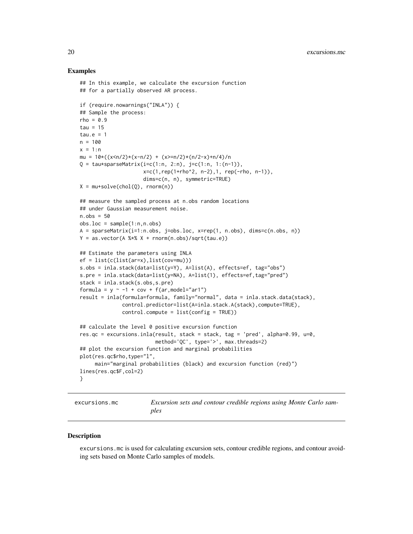#### Examples

```
## In this example, we calculate the excursion function
## for a partially observed AR process.
if (require.nowarnings("INLA")) {
## Sample the process:
rho = 0.9tau = 15tau.e = 1n = 100
x = 1:nmu = 10*( (x<n/2)*(x-n/2) + (x>=n/2)*(n/2-x)+n/4)/nQ = \text{tau*sparseMatrix}(i=c(1:n, 2:n), j=c(1:n, 1:(n-1)),x=c(1,rep(1+rho^2, n-2),1, rep(-rho, n-1)),
                     dims=c(n, n), symmetric=TRUE)
X = mu + solve(chol(Q), rnorm(n))## measure the sampled process at n.obs random locations
## under Gaussian measurement noise.
n.obs = 50
obs.loc = sample(1:n, n.obs)A = sparseMatrix(i=1:n.obs, j=obs.loc, x=rep(1, n.obs), dims=c(n.obs, n))
Y = as.vector(A %*X + rnorm(n.obs)/sqrt(tau.e))## Estimate the parameters using INLA
ef = list(c(list(ar=x),list(cov=mu)))
s.obs = inla.stack(data=list(y=Y), A=list(A), effects=ef, tag="obs")
s.pre = inla.stack(data=list(y=NA), A=list(1), effects=ef,tag="pred")
stack = inla.stack(s.obs,s.pre)
formula = y \sim -1 + cov + f(ar, model="ar1")result = inla(formula=formula, family="normal", data = inla.stack.data(stack),
              control.predictor=list(A=inla.stack.A(stack),compute=TRUE),
              control.compute = list(config = TRUE))
## calculate the level 0 positive excursion function
res.qc = excursions.inla(result, stack = stack, tag = 'pred', alpha=0.99, u=0,
                         method='QC', type='>', max.threads=2)
## plot the excursion function and marginal probabilities
plot(res.qc$rho,type="l",
     main="marginal probabilities (black) and excursion function (red)")
lines(res.qc$F,col=2)
}
```
<span id="page-19-1"></span>excursions.mc *Excursion sets and contour credible regions using Monte Carlo samples*

#### **Description**

excursions.mc is used for calculating excursion sets, contour credible regions, and contour avoiding sets based on Monte Carlo samples of models.

<span id="page-19-0"></span>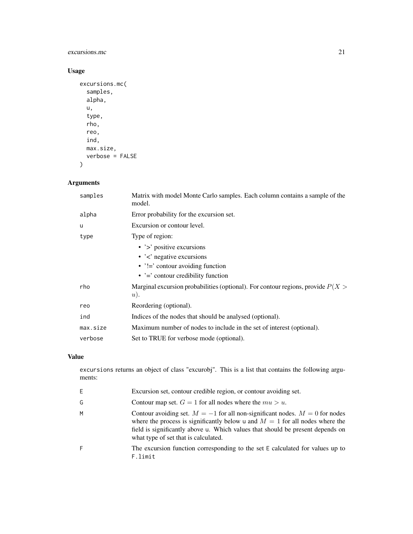### excursions.mc 21

### Usage

```
excursions.mc(
  samples,
  alpha,
  u,
  type,
  rho,
  reo,
  ind,
  max.size,
  verbose = FALSE
)
```
### Arguments

| samples  | Matrix with model Monte Carlo samples. Each column contains a sample of the<br>model.       |
|----------|---------------------------------------------------------------------------------------------|
| alpha    | Error probability for the excursion set.                                                    |
| u        | Excursion or contour level.                                                                 |
| type     | Type of region:                                                                             |
|          | • $\prime$ > positive excursions                                                            |
|          | $\cdot$ $\cdot$ $\cdot$ negative excursions                                                 |
|          | • $'!=$ contour avoiding function                                                           |
|          | $\cdot$ $\cdot$ = $\cdot$ contour credibility function                                      |
| rho      | Marginal excursion probabilities (optional). For contour regions, provide $P(X >$<br>$u$ ). |
| reo      | Reordering (optional).                                                                      |
| ind      | Indices of the nodes that should be analysed (optional).                                    |
| max.size | Maximum number of nodes to include in the set of interest (optional).                       |
| verbose  | Set to TRUE for verbose mode (optional).                                                    |

### Value

excursions returns an object of class "excurobj". This is a list that contains the following arguments:

| E. | Excursion set, contour credible region, or contour avoiding set.                                                                                                                                                                                                                            |
|----|---------------------------------------------------------------------------------------------------------------------------------------------------------------------------------------------------------------------------------------------------------------------------------------------|
| G  | Contour map set. $G = 1$ for all nodes where the $mu > u$ .                                                                                                                                                                                                                                 |
| м  | Contour avoiding set. $M = -1$ for all non-significant nodes. $M = 0$ for nodes<br>where the process is significantly below u and $M = 1$ for all nodes where the<br>field is significantly above u. Which values that should be present depends on<br>what type of set that is calculated. |
| F  | The excursion function corresponding to the set E calculated for values up to<br>F.limit                                                                                                                                                                                                    |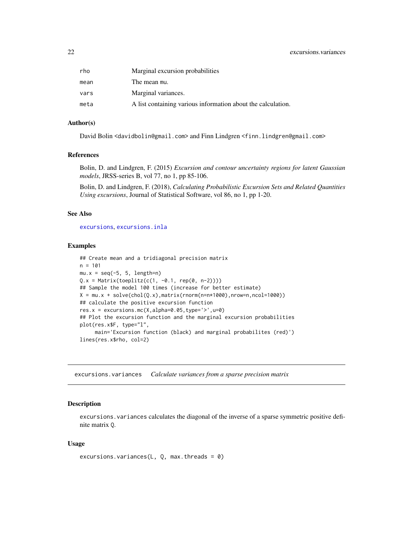#### <span id="page-21-0"></span>22 excursions.variances

| rho  | Marginal excursion probabilities                             |
|------|--------------------------------------------------------------|
| mean | The mean mu.                                                 |
| vars | Marginal variances.                                          |
| meta | A list containing various information about the calculation. |

### Author(s)

David Bolin <davidbolin@gmail.com> and Finn Lindgren <finn.lindgren@gmail.com>

### References

Bolin, D. and Lindgren, F. (2015) *Excursion and contour uncertainty regions for latent Gaussian models*, JRSS-series B, vol 77, no 1, pp 85-106.

Bolin, D. and Lindgren, F. (2018), *Calculating Probabilistic Excursion Sets and Related Quantities Using excursions*, Journal of Statistical Software, vol 86, no 1, pp 1-20.

#### See Also

[excursions](#page-1-1), [excursions.inla](#page-16-1)

#### Examples

```
## Create mean and a tridiagonal precision matrix
n = 101mu.x = seq(-5, 5, length=n)Q.x = Matrix(toeplitz(c(1, -0.1, rep(0, n-2))))## Sample the model 100 times (increase for better estimate)
X = mu.x + solve(chol(Q.x), matrix(rnorm(n=n*1000), nrow=n, ncol=1000))## calculate the positive excursion function
res.x = excursions.mc(X,alpha=0.05,type='>',u=0)
## Plot the excursion function and the marginal excursion probabilities
plot(res.x$F, type="l",
     main='Excursion function (black) and marginal probabilites (red)')
lines(res.x$rho, col=2)
```
excursions.variances *Calculate variances from a sparse precision matrix*

### Description

excursions. variances calculates the diagonal of the inverse of a sparse symmetric positive definite matrix Q.

#### Usage

```
excursions.variances(L, Q, max.threads = 0)
```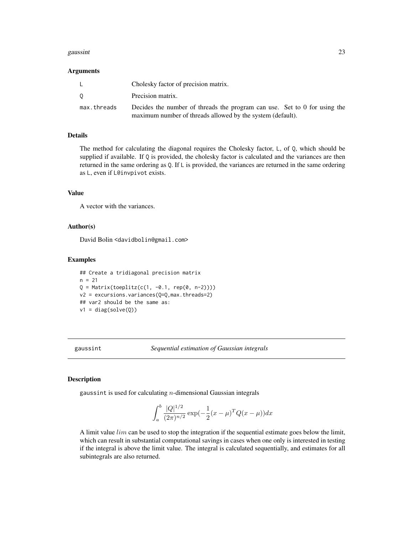#### <span id="page-22-0"></span>gaussint 23

#### Arguments

|             | Cholesky factor of precision matrix.                                      |
|-------------|---------------------------------------------------------------------------|
|             | Precision matrix.                                                         |
| max.threads | Decides the number of threads the program can use. Set to 0 for using the |
|             | maximum number of threads allowed by the system (default).                |

#### Details

The method for calculating the diagonal requires the Cholesky factor, L, of Q, which should be supplied if available. If  $Q$  is provided, the cholesky factor is calculated and the variances are then returned in the same ordering as Q. If L is provided, the variances are returned in the same ordering as L, even if L@invpivot exists.

### Value

A vector with the variances.

### Author(s)

David Bolin <davidbolin@gmail.com>

#### Examples

```
## Create a tridiagonal precision matrix
n = 21Q = Matrix(toeplitz(c(1, -0.1, rep(0, n-2))))v2 = excursions.variances(Q=Q,max.threads=2)
## var2 should be the same as:
v1 = diag(solve(Q))
```
gaussint *Sequential estimation of Gaussian integrals*

#### Description

gaussint is used for calculating  $n$ -dimensional Gaussian integrals

$$
\int_{a}^{b} \frac{|Q|^{1/2}}{(2\pi)^{n/2}} \exp(-\frac{1}{2}(x-\mu)^{T}Q(x-\mu))dx
$$

A limit value  $lim$  can be used to stop the integration if the sequential estimate goes below the limit, which can result in substantial computational savings in cases when one only is interested in testing if the integral is above the limit value. The integral is calculated sequentially, and estimates for all subintegrals are also returned.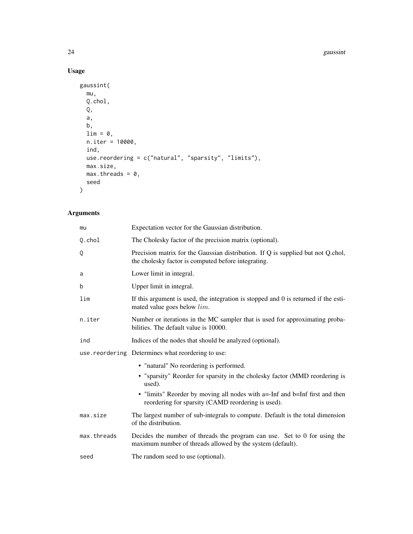#### 24 gaussint

### Usage

```
gaussint(
  mu,
  Q.chol,
  Q,
  a,
  b,
  \lim = 0,n.iter = 10000,
  ind,
  use.reordering = c("natural", "sparsity", "limits"),
  max.size,
  max.threads = 0,seed
\mathcal{L}
```

| mu          | Expectation vector for the Gaussian distribution.                                                                                       |
|-------------|-----------------------------------------------------------------------------------------------------------------------------------------|
| Q.chol      | The Cholesky factor of the precision matrix (optional).                                                                                 |
| Q           | Precision matrix for the Gaussian distribution. If Q is supplied but not Q.chol,<br>the cholesky factor is computed before integrating. |
| a           | Lower limit in integral.                                                                                                                |
| b           | Upper limit in integral.                                                                                                                |
| lim         | If this argument is used, the integration is stopped and 0 is returned if the esti-<br>mated value goes below <i>lim</i> .              |
| n.iter      | Number or iterations in the MC sampler that is used for approximating proba-<br>bilities. The default value is 10000.                   |
| ind         | Indices of the nodes that should be analyzed (optional).                                                                                |
|             | use.reordering Determines what reordering to use:                                                                                       |
|             | • "natural" No reordering is performed.                                                                                                 |
|             | • "sparsity" Reorder for sparsity in the cholesky factor (MMD reordering is<br>used).                                                   |
|             | • "limits" Reorder by moving all nodes with a=-Inf and b=Inf first and then<br>reordering for sparsity (CAMD reordering is used).       |
| max.size    | The largest number of sub-integrals to compute. Default is the total dimension<br>of the distribution.                                  |
| max.threads | Decides the number of threads the program can use. Set to 0 for using the<br>maximum number of threads allowed by the system (default). |
| seed        | The random seed to use (optional).                                                                                                      |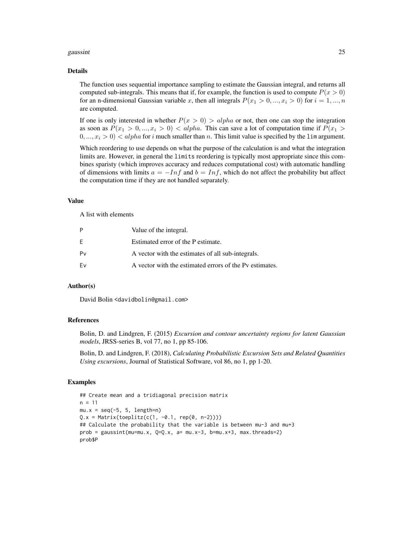#### gaussint 25

#### Details

The function uses sequential importance sampling to estimate the Gaussian integral, and returns all computed sub-integrals. This means that if, for example, the function is used to compute  $P(x > 0)$ for an n-dimensional Gaussian variable x, then all integrals  $P(x_1 > 0, ..., x_i > 0)$  for  $i = 1, ..., n$ are computed.

If one is only interested in whether  $P(x > 0) > alpha$  or not, then one can stop the integration as soon as  $P(x_1 > 0, ..., x_i > 0) < alpha$ . This can save a lot of computation time if  $P(x_1 > 0, ..., x_i > 0)$  $(0, ..., x_i > 0) < alpha$  for i much smaller than n. This limit value is specified by the lim argument.

Which reordering to use depends on what the purpose of the calculation is and what the integration limits are. However, in general the limits reordering is typically most appropriate since this combines sparisty (which improves accuracy and reduces computational cost) with automatic handling of dimensions with limits  $a = -Inf$  and  $b = Inf$ , which do not affect the probability but affect the computation time if they are not handled separately.

#### Value

A list with elements

| P  | Value of the integral.                                  |
|----|---------------------------------------------------------|
| E. | Estimated error of the P estimate.                      |
| Pv | A vector with the estimates of all sub-integrals.       |
| Fv | A vector with the estimated errors of the Py estimates. |

### Author(s)

David Bolin <davidbolin@gmail.com>

#### References

Bolin, D. and Lindgren, F. (2015) *Excursion and contour uncertainty regions for latent Gaussian models*, JRSS-series B, vol 77, no 1, pp 85-106.

Bolin, D. and Lindgren, F. (2018), *Calculating Probabilistic Excursion Sets and Related Quantities Using excursions*, Journal of Statistical Software, vol 86, no 1, pp 1-20.

```
## Create mean and a tridiagonal precision matrix
n = 11mu.x = seq(-5, 5, length=n)Q.x = Matrix(toeplitz(c(1, -0.1, rep(0, n-2))))## Calculate the probability that the variable is between mu-3 and mu+3
prob = gaussint(mu=mu.x, Q=Q.x, a= mu.x-3, b=mu.x+3, max.threads=2)
prob$P
```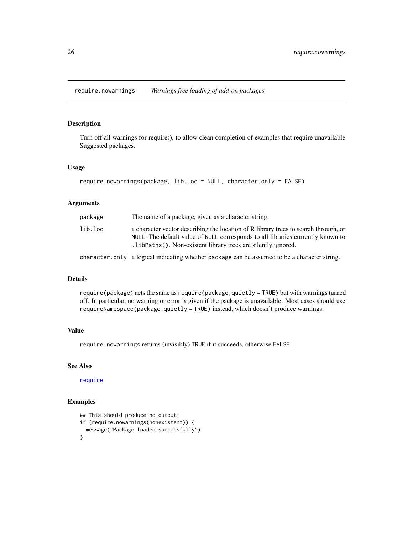<span id="page-25-0"></span>require.nowarnings *Warnings free loading of add-on packages*

### Description

Turn off all warnings for require(), to allow clean completion of examples that require unavailable Suggested packages.

#### Usage

```
require.nowarnings(package, lib.loc = NULL, character.only = FALSE)
```
#### Arguments

| package | The name of a package, given as a character string.                                                                                                                                                                                       |
|---------|-------------------------------------------------------------------------------------------------------------------------------------------------------------------------------------------------------------------------------------------|
| lib.loc | a character vector describing the location of R library trees to search through, or<br>NULL. The default value of NULL corresponds to all libraries currently known to<br>. libPaths (). Non-existent library trees are silently ignored. |
|         |                                                                                                                                                                                                                                           |

character.only a logical indicating whether package can be assumed to be a character string.

#### Details

require(package) acts the same as require(package,quietly = TRUE) but with warnings turned off. In particular, no warning or error is given if the package is unavailable. Most cases should use requireNamespace(package,quietly = TRUE) instead, which doesn't produce warnings.

### Value

require.nowarnings returns (invisibly) TRUE if it succeeds, otherwise FALSE

#### See Also

[require](#page-0-0)

```
## This should produce no output:
if (require.nowarnings(nonexistent)) {
 message("Package loaded successfully")
}
```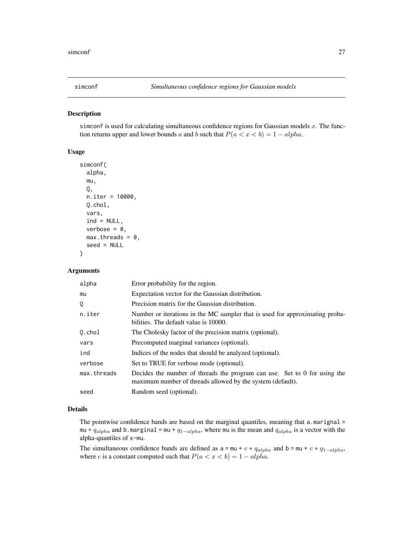<span id="page-26-1"></span><span id="page-26-0"></span>

#### Description

simconf is used for calculating simultaneous confidence regions for Gaussian models  $x$ . The function returns upper and lower bounds a and b such that  $P(a < x < b) = 1 - alpha$ .

### Usage

```
simconf(
  alpha,
 mu,
 Q,
 n.iter = 10000,
 Q.chol,
  vars,
  ind = NULL,verbose = 0,
 max.threads = 0,seed = NULL
```
### Arguments

)

| alpha       | Error probability for the region.                                                                                                         |
|-------------|-------------------------------------------------------------------------------------------------------------------------------------------|
| mu          | Expectation vector for the Gaussian distribution.                                                                                         |
| Q           | Precision matrix for the Gaussian distribution.                                                                                           |
| n.iter      | Number or iterations in the MC sampler that is used for approximating proba-<br>bilities. The default value is 10000.                     |
| Q.chol      | The Cholesky factor of the precision matrix (optional).                                                                                   |
| vars        | Precomputed marginal variances (optional).                                                                                                |
| ind         | Indices of the nodes that should be analyzed (optional).                                                                                  |
| verbose     | Set to TRUE for verbose mode (optional).                                                                                                  |
| max.threads | Decides the number of threads the program can use. Set to $0$ for using the<br>maximum number of threads allowed by the system (default). |
| seed        | Random seed (optional).                                                                                                                   |

#### Details

The pointwise confidence bands are based on the marginal quantiles, meaning that a.marignal = mu +  $q_{alpha}$  and b.marginal = mu +  $q_{1-alpha}$ , where mu is the mean and  $q_{alpha}$  is a vector with the alpha-quantiles of x-mu.

The simultaneous confidence bands are defined as  $a = mu + c * q_{alpha}$  and  $b = mu + c * q_{1-alpha}$ , where c is a constant computed such that  $P(a < x < b) = 1 - \alpha l p \dot{h} a$ .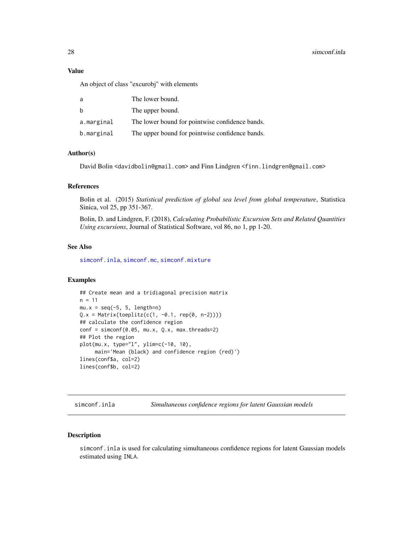#### <span id="page-27-0"></span>28 simconf.inla

### Value

An object of class "excurobj" with elements

| a          | The lower bound.                                |
|------------|-------------------------------------------------|
| b          | The upper bound.                                |
| a.marginal | The lower bound for pointwise confidence bands. |
| b.marginal | The upper bound for pointwise confidence bands. |

#### Author(s)

David Bolin <davidbolin@gmail.com> and Finn Lindgren <finn.lindgren@gmail.com>

### References

Bolin et al. (2015) *Statistical prediction of global sea level from global temperature*, Statistica Sinica, vol 25, pp 351-367.

Bolin, D. and Lindgren, F. (2018), *Calculating Probabilistic Excursion Sets and Related Quantities Using excursions*, Journal of Statistical Software, vol 86, no 1, pp 1-20.

### See Also

[simconf.inla](#page-27-1), [simconf.mc](#page-30-1), [simconf.mixture](#page-31-1)

#### Examples

```
## Create mean and a tridiagonal precision matrix
n = 11mu.x = seq(-5, 5, length=n)Q.x = Matrix(toeplitz(c(1, -0.1, rep(0, n-2))))## calculate the confidence region
conf = simconf(0.05, mu.x, Q.x, max.threads=2)
## Plot the region
plot(mu.x, type="l", ylim=c(-10, 10),
     main='Mean (black) and confidence region (red)')
lines(conf$a, col=2)
lines(conf$b, col=2)
```
<span id="page-27-1"></span>simconf.inla *Simultaneous confidence regions for latent Gaussian models*

#### Description

simconf.inla is used for calculating simultaneous confidence regions for latent Gaussian models estimated using INLA.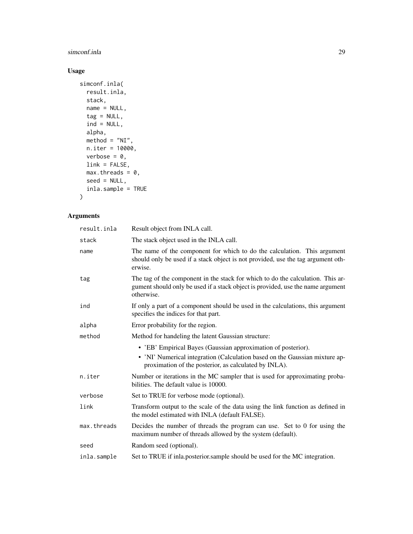### simconf.inla 29

### Usage

```
simconf.inla(
  result.inla,
  stack,
  name = NULL,tag = NULL,ind = NULL,alpha,
  \text{method} = \text{"NI"},
  n.iter = 10000,
  verbose = 0,
  link = FALSE,
  max.threads = 0,seed = NULL,
  inla.sample = TRUE\mathcal{L}
```

| result.inla | Result object from INLA call.                                                                                                                                                    |
|-------------|----------------------------------------------------------------------------------------------------------------------------------------------------------------------------------|
| stack       | The stack object used in the INLA call.                                                                                                                                          |
| name        | The name of the component for which to do the calculation. This argument<br>should only be used if a stack object is not provided, use the tag argument oth-<br>erwise.          |
| tag         | The tag of the component in the stack for which to do the calculation. This ar-<br>gument should only be used if a stack object is provided, use the name argument<br>otherwise. |
| ind         | If only a part of a component should be used in the calculations, this argument<br>specifies the indices for that part.                                                          |
| alpha       | Error probability for the region.                                                                                                                                                |
| method      | Method for handeling the latent Gaussian structure:                                                                                                                              |
|             | • 'EB' Empirical Bayes (Gaussian approximation of posterior).                                                                                                                    |
|             | • 'NI' Numerical integration (Calculation based on the Gaussian mixture ap-<br>proximation of the posterior, as calculated by INLA).                                             |
| n.iter      | Number or iterations in the MC sampler that is used for approximating proba-<br>bilities. The default value is 10000.                                                            |
| verbose     | Set to TRUE for verbose mode (optional).                                                                                                                                         |
| link        | Transform output to the scale of the data using the link function as defined in<br>the model estimated with INLA (default FALSE).                                                |
| max.threads | Decides the number of threads the program can use. Set to 0 for using the<br>maximum number of threads allowed by the system (default).                                          |
| seed        | Random seed (optional).                                                                                                                                                          |
| inla.sample | Set to TRUE if inla posterior sample should be used for the MC integration.                                                                                                      |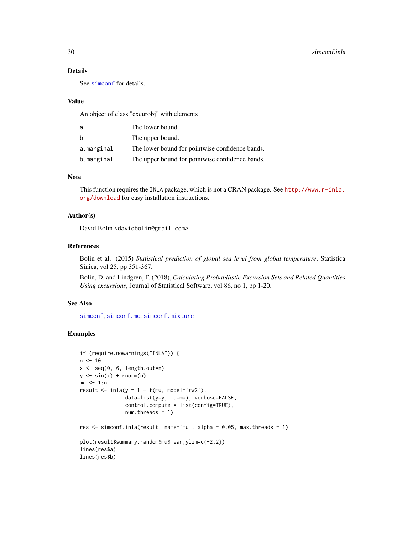### <span id="page-29-0"></span>Details

See [simconf](#page-26-1) for details.

#### Value

An object of class "excurobj" with elements

| a          | The lower bound.                                |
|------------|-------------------------------------------------|
| b          | The upper bound.                                |
| a.marginal | The lower bound for pointwise confidence bands. |
| b.marginal | The upper bound for pointwise confidence bands. |

### Note

This function requires the INLA package, which is not a CRAN package. See [http://www.r-inla.](http://www.r-inla.org/download) [org/download](http://www.r-inla.org/download) for easy installation instructions.

### Author(s)

David Bolin <davidbolin@gmail.com>

### References

Bolin et al. (2015) *Statistical prediction of global sea level from global temperature*, Statistica Sinica, vol 25, pp 351-367.

Bolin, D. and Lindgren, F. (2018), *Calculating Probabilistic Excursion Sets and Related Quantities Using excursions*, Journal of Statistical Software, vol 86, no 1, pp 1-20.

### See Also

[simconf](#page-26-1), [simconf.mc](#page-30-1), [simconf.mixture](#page-31-1)

```
if (require.nowarnings("INLA")) {
n < -10x \leq -\text{seq}(0, 6, \text{length.out=n})y \le -\sin(x) + \text{norm}(n)mu < -1:nresult \le inla(y \sim 1 + f(mu, model='rw2'),
                data=list(y=y, mu=mu), verbose=FALSE,
                control.compute = list(config=TRUE),
                num.threads = 1)
res \le simconf.inla(result, name='mu', alpha = 0.05, max.threads = 1)
plot(result$summary.random$mu$mean,ylim=c(-2,2))
lines(res$a)
lines(res$b)
```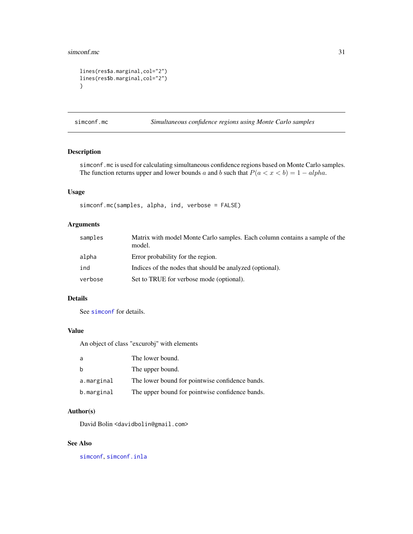#### <span id="page-30-0"></span>simconf.mc 31

```
lines(res$a.marginal,col="2")
lines(res$b.marginal,col="2")
}
```
<span id="page-30-1"></span>simconf.mc *Simultaneous confidence regions using Monte Carlo samples*

### Description

simconf.mc is used for calculating simultaneous confidence regions based on Monte Carlo samples. The function returns upper and lower bounds a and b such that  $P(a < x < b) = 1 - alpha$ .

### Usage

simconf.mc(samples, alpha, ind, verbose = FALSE)

### Arguments

| samples | Matrix with model Monte Carlo samples. Each column contains a sample of the<br>model. |
|---------|---------------------------------------------------------------------------------------|
| alpha   | Error probability for the region.                                                     |
| ind     | Indices of the nodes that should be analyzed (optional).                              |
| verbose | Set to TRUE for verbose mode (optional).                                              |

### Details

See [simconf](#page-26-1) for details.

### Value

An object of class "excurobj" with elements

| a          | The lower bound.                                |
|------------|-------------------------------------------------|
| b          | The upper bound.                                |
| a.marginal | The lower bound for pointwise confidence bands. |
| b.marginal | The upper bound for pointwise confidence bands. |

### Author(s)

David Bolin <davidbolin@gmail.com>

#### See Also

[simconf](#page-26-1), [simconf.inla](#page-27-1)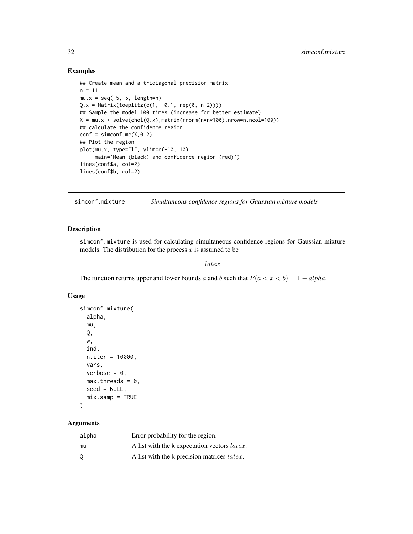### Examples

```
## Create mean and a tridiagonal precision matrix
n = 11mu.x = seq(-5, 5, length=n)Q.x = Matrix(toeplitz(c(1, -0.1, rep(0, n-2))))## Sample the model 100 times (increase for better estimate)
X = mu.x + solve(chol(Q.x), matrix(rnorm(n=n*100), nrow=n, ncol=100))## calculate the confidence region
conf = simconf.mc(X, \emptyset.2)## Plot the region
plot(mu.x, type="l", ylim=c(-10, 10),
     main='Mean (black) and confidence region (red)')
lines(conf$a, col=2)
lines(conf$b, col=2)
```
<span id="page-31-1"></span>simconf.mixture *Simultaneous confidence regions for Gaussian mixture models*

#### Description

simconf.mixture is used for calculating simultaneous confidence regions for Gaussian mixture models. The distribution for the process  $x$  is assumed to be

latex

The function returns upper and lower bounds a and b such that  $P(a < x < b) = 1 - alpha$ .

#### Usage

```
simconf.mixture(
  alpha,
 mu,
  Q,
 w,
  ind,
 n.iter = 10000,
 vars,
  verbose = 0,
 max.threads = 0,seed = NULL,
 mix.samp = TRUE
```
#### )

| alpha | Error probability for the region.                    |
|-------|------------------------------------------------------|
| mu    | A list with the k expectation vectors <i>latex</i> . |
| 0     | A list with the k precision matrices <i>latex</i> .  |

<span id="page-31-0"></span>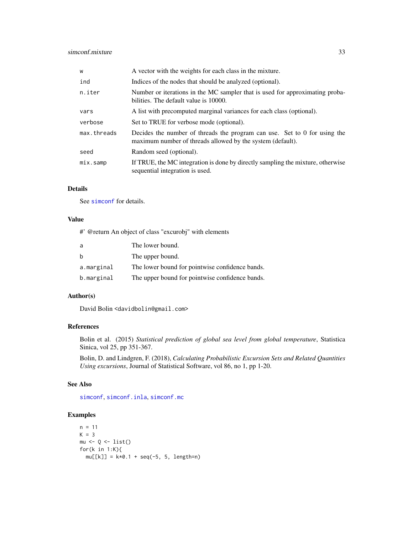### <span id="page-32-0"></span>simconf.mixture 33

| W           | A vector with the weights for each class in the mixture.                                                                                |
|-------------|-----------------------------------------------------------------------------------------------------------------------------------------|
| ind         | Indices of the nodes that should be analyzed (optional).                                                                                |
| n.iter      | Number or iterations in the MC sampler that is used for approximating proba-<br>bilities. The default value is 10000.                   |
| vars        | A list with precomputed marginal variances for each class (optional).                                                                   |
| verbose     | Set to TRUE for verbose mode (optional).                                                                                                |
| max.threads | Decides the number of threads the program can use. Set to 0 for using the<br>maximum number of threads allowed by the system (default). |
| seed        | Random seed (optional).                                                                                                                 |
| mix.samp    | If TRUE, the MC integration is done by directly sampling the mixture, otherwise<br>sequential integration is used.                      |

### Details

See [simconf](#page-26-1) for details.

#### Value

#' @return An object of class "excurobj" with elements

| a          | The lower bound.                                |
|------------|-------------------------------------------------|
| b          | The upper bound.                                |
| a.marginal | The lower bound for pointwise confidence bands. |
| b.marginal | The upper bound for pointwise confidence bands. |

### Author(s)

David Bolin <davidbolin@gmail.com>

### References

Bolin et al. (2015) *Statistical prediction of global sea level from global temperature*, Statistica Sinica, vol 25, pp 351-367.

Bolin, D. and Lindgren, F. (2018), *Calculating Probabilistic Excursion Sets and Related Quantities Using excursions*, Journal of Statistical Software, vol 86, no 1, pp 1-20.

#### See Also

[simconf](#page-26-1), [simconf.inla](#page-27-1), [simconf.mc](#page-30-1)

```
n = 11K = 3mu \leftarrow Q \leftarrow list()for(k in 1:K){
  mu[[k]] = k*0.1 + seq(-5, 5, length=n)
```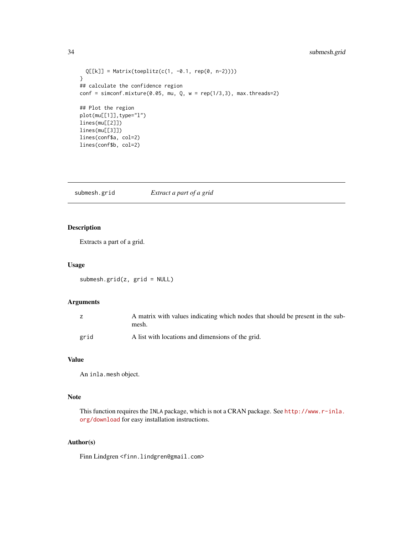### <span id="page-33-0"></span>34 submesh.grid

```
Q[[k]] = Matrix(toeplitz(c(1, -0.1, rep(0, n-2))))}
## calculate the confidence region
conf = simconf.mixture(0.05, mu, Q, w = rep(1/3,3), max.threads=2)## Plot the region
plot(mu[[1]],type="l")
lines(mu[[2]])
lines(mu[[3]])
lines(conf$a, col=2)
lines(conf$b, col=2)
```
submesh.grid *Extract a part of a grid*

### Description

Extracts a part of a grid.

#### Usage

submesh.grid(z, grid = NULL)

#### Arguments

|      | A matrix with values indicating which nodes that should be present in the sub-<br>mesh. |
|------|-----------------------------------------------------------------------------------------|
| grid | A list with locations and dimensions of the grid.                                       |

### Value

An inla.mesh object.

### Note

This function requires the INLA package, which is not a CRAN package. See [http://www.r-inla.](http://www.r-inla.org/download) [org/download](http://www.r-inla.org/download) for easy installation instructions.

### Author(s)

Finn Lindgren <finn.lindgren@gmail.com>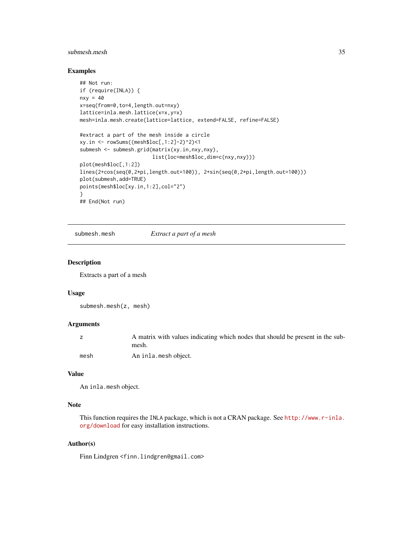### <span id="page-34-0"></span>submesh.mesh 35

### Examples

```
## Not run:
if (require(INLA)) {
nxy = 40x=seq(from=0,to=4,length.out=nxy)
lattice=inla.mesh.lattice(x=x,y=x)
mesh=inla.mesh.create(lattice=lattice, extend=FALSE, refine=FALSE)
#extract a part of the mesh inside a circle
xy.in <- rowSums((mesh$loc[,1:2]-2)^2)<1
submesh <- submesh.grid(matrix(xy.in,nxy,nxy),
                        list(loc=mesh$loc,dim=c(nxy,nxy)))
plot(mesh$loc[,1:2])
lines(2+cos(seq(0,2*pi,length.out=100)), 2+sin(seq(0,2*pi,length.out=100)))
plot(submesh,add=TRUE)
points(mesh$loc[xy.in,1:2],col="2")
}
## End(Not run)
```
submesh.mesh *Extract a part of a mesh*

#### Description

Extracts a part of a mesh

#### Usage

```
submesh.mesh(z, mesh)
```
#### Arguments

|      | A matrix with values indicating which nodes that should be present in the sub- |
|------|--------------------------------------------------------------------------------|
|      | mesh.                                                                          |
| mesh | An inla.mesh object.                                                           |

### Value

```
An inla.mesh object.
```
### Note

This function requires the INLA package, which is not a CRAN package. See [http://www.r-inla.](http://www.r-inla.org/download) [org/download](http://www.r-inla.org/download) for easy installation instructions.

### Author(s)

Finn Lindgren <finn.lindgren@gmail.com>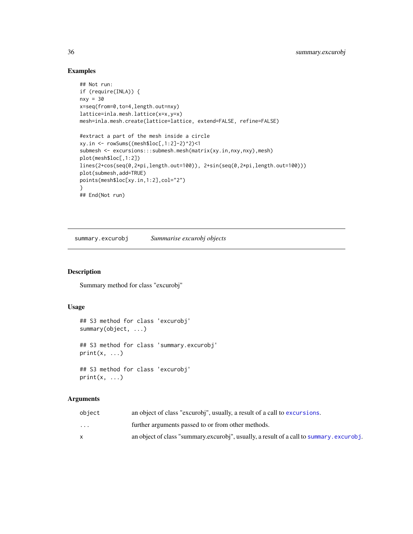### Examples

```
## Not run:
if (require(INLA)) {
nxy = 30
x=seq(from=0,to=4,length.out=nxy)
lattice=inla.mesh.lattice(x=x,y=x)
mesh=inla.mesh.create(lattice=lattice, extend=FALSE, refine=FALSE)
#extract a part of the mesh inside a circle
xy.in <- rowSums((mesh$loc[,1:2]-2)^2)<1
submesh <- excursions:::submesh.mesh(matrix(xy.in,nxy,nxy),mesh)
plot(mesh$loc[,1:2])
lines(2+cos(seq(0,2*pi,length.out=100)), 2+sin(seq(0,2*pi,length.out=100)))
plot(submesh,add=TRUE)
points(mesh$loc[xy.in,1:2],col="2")
}
## End(Not run)
```
<span id="page-35-1"></span>summary.excurobj *Summarise excurobj objects*

### Description

Summary method for class "excurobj"

#### Usage

```
## S3 method for class 'excurobj'
summary(object, ...)
## S3 method for class 'summary.excurobj'
print(x, \ldots)## S3 method for class 'excurobj'
print(x, \ldots)
```

| object                  | an object of class "excurobi", usually, a result of a call to excursions.               |
|-------------------------|-----------------------------------------------------------------------------------------|
| $\cdot$ $\cdot$ $\cdot$ | further arguments passed to or from other methods.                                      |
|                         | an object of class "summary excurobi", usually, a result of a call to summary excurobi. |

<span id="page-35-0"></span>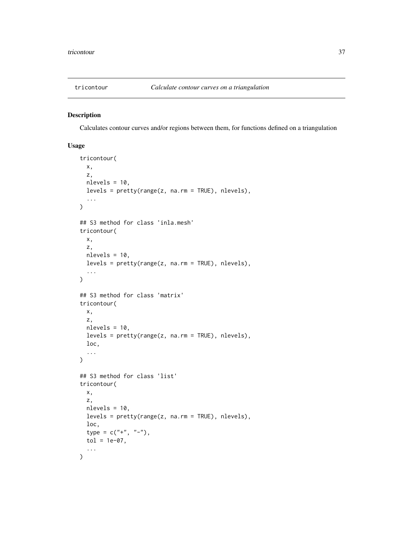<span id="page-36-1"></span><span id="page-36-0"></span>

### <span id="page-36-2"></span>Description

Calculates contour curves and/or regions between them, for functions defined on a triangulation

### Usage

```
tricontour(
 x,
 z,
 nlevels = 10,
 levels = pretty(range(z, na.rm = TRUE), nlevels),
  ...
)
## S3 method for class 'inla.mesh'
tricontour(
 x,
 z,
 nlevels = 10,
 levels = pretty(range(z, na.rm = TRUE), nlevels),
  ...
\lambda## S3 method for class 'matrix'
tricontour(
 x,
  z,
 nlevels = 10,
 levels = pretty(range(z, na.rm = TRUE), nlevels),
 loc,
  ...
\mathcal{L}## S3 method for class 'list'
tricontour(
 x,
 z,
 nlevels = 10,
 levels = prety(range(z, na.rm = TRUE), nlevels),loc,
  type = c("'' +", "'' -"),
  tol = 1e-07,...
\mathcal{L}
```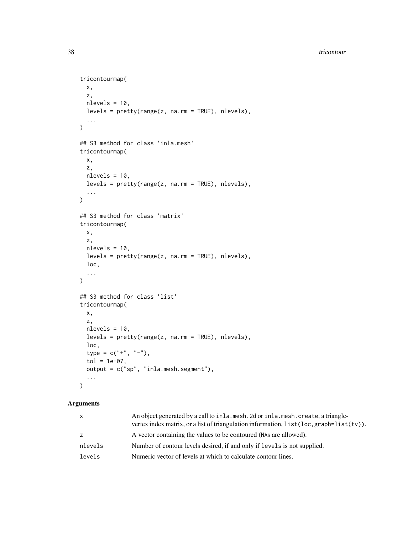#### 38 tricontour contracts and the contracts of the contracts of the contracts of the contracts of the contracts of the contracts of the contracts of the contracts of the contracts of the contracts of the contracts of the con

```
tricontourmap(
 x,
 z,
 nlevels = 10,
 levels = pretty(range(z, na.rm = TRUE), nlevels),
  ...
\mathcal{L}## S3 method for class 'inla.mesh'
tricontourmap(
 x,
 z,
 nlevels = 10,
 levels = pretty(range(z, na.rm = TRUE), nlevels),
  ...
\mathcal{L}## S3 method for class 'matrix'
tricontourmap(
 x,
 z,
 nlevels = 10,levels = pretty(range(z, na.rm = TRUE), nlevels),
 loc,
  ...
\mathcal{L}## S3 method for class 'list'
tricontourmap(
 x,
 z,
 nlevels = 10,
 levels = pretty(range(z, na.rm = TRUE), nlevels),
 loc,
  type = c("+", "--",tol = 1e-07,
 output = c("sp", "inla.mesh.segment"),
  ...
\mathcal{L}
```

| $\mathsf{x}$ | An object generated by a call to inla. mesh. 2d or inla. mesh. create, a triangle-<br>vertex index matrix, or a list of triangulation information, $list(loc, graph=list(tv))$ . |
|--------------|----------------------------------------------------------------------------------------------------------------------------------------------------------------------------------|
| Z            | A vector containing the values to be contoured (NAs are allowed).                                                                                                                |
| nlevels      | Number of contour levels desired, if and only if levels is not supplied.                                                                                                         |
| levels       | Numeric vector of levels at which to calculate contour lines.                                                                                                                    |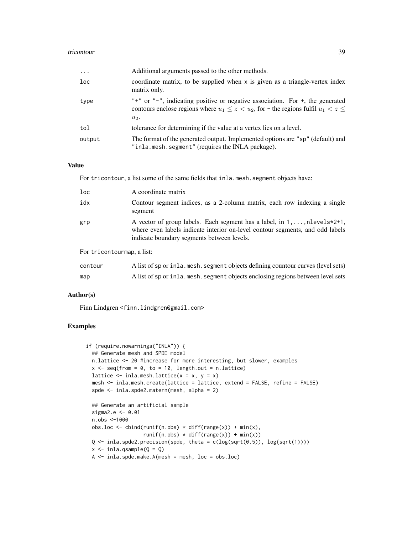#### tricontour 39

| $\cdots$ | Additional arguments passed to the other methods.                                                                                                                                                      |
|----------|--------------------------------------------------------------------------------------------------------------------------------------------------------------------------------------------------------|
| loc      | coordinate matrix, to be supplied when x is given as a triangle-vertex index<br>matrix only.                                                                                                           |
| type     | " $+$ " or " $-$ ", indicating positive or negative association. For $+$ , the generated<br>contours enclose regions where $u_1 \leq z \lt u_2$ , for - the regions fulfil $u_1 \lt z \leq$<br>$u_2$ . |
| tol      | tolerance for determining if the value at a vertex lies on a level.                                                                                                                                    |
| output   | The format of the generated output. Implemented options are "sp" (default) and<br>"inla.mesh.segment" (requires the INLA package).                                                                     |

#### Value

For tricontour, a list some of the same fields that inla.mesh.segment objects have:

| 1 <sub>oc</sub>            | A coordinate matrix                                                                                                                                                                                                  |
|----------------------------|----------------------------------------------------------------------------------------------------------------------------------------------------------------------------------------------------------------------|
| idx                        | Contour segment indices, as a 2-column matrix, each row indexing a single<br>segment                                                                                                                                 |
| grp                        | A vector of group labels. Each segment has a label, in $1, \ldots$ , nlevels $*2+1$ ,<br>where even labels indicate interior on-level contour segments, and odd labels<br>indicate boundary segments between levels. |
| For tricontourmap, a list: |                                                                                                                                                                                                                      |
| contour                    | A list of sp or inla. mesh. segment objects defining countour curves (level sets)                                                                                                                                    |

map A list of sp or inla.mesh. segment objects enclosing regions between level sets

#### Author(s)

Finn Lindgren <finn.lindgren@gmail.com>

```
if (require.nowarnings("INLA")) {
  ## Generate mesh and SPDE model
 n.lattice <- 20 #increase for more interesting, but slower, examples
 x \leq - seq(from = 0, to = 10, length.out = n.lattice)
 lattice \le inla.mesh.lattice(x = x, y = x)
 mesh <- inla.mesh.create(lattice = lattice, extend = FALSE, refine = FALSE)
  spde <- inla.spde2.matern(mesh, alpha = 2)
  ## Generate an artificial sample
  sigma2.e <- 0.01
  n.obs <-1000
 obs.loc \le cbind(runif(n.obs) \star diff(range(x)) + min(x),
                   runif(n.obs) * diff(range(x)) + min(x))Q \leftarrow inla.spde2.precision(spde, theta = c(log(sqrt(0.5)), log(sqrt(1))))
  x \le - inla.qsample(Q = Q)
 A \leq inla.spde.make.A(mesh = mesh, loc = obs.loc)
```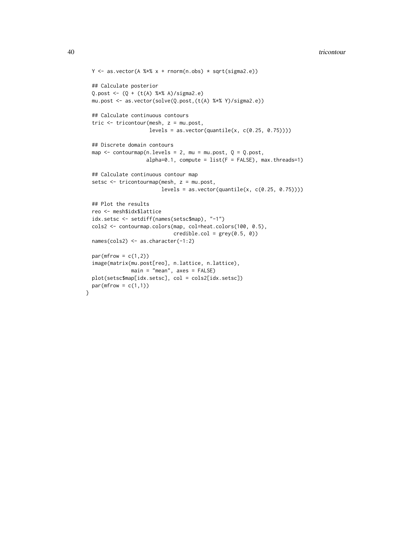#### 40 tricontour contract to the contract of the contract of the contract of the contract of the contract of the contract of the contract of the contract of the contract of the contract of the contract of the contract of the

```
Y \leftarrow as.vector(A %*X x + rnorm(n.obs) * sqrt(sigma.e))## Calculate posterior
Q.post \leftarrow (Q + (t(A) % * % A)/sigma2.e)mu.post <- as.vector(solve(Q.post,(t(A) %*% Y)/sigma2.e))
## Calculate continuous contours
tric <- tricontour(mesh, z = mu.post,
                   levels = as.vector(quantile(x, c(0.25, 0.75)))
## Discrete domain contours
map \le - contourmap(n.levels = 2, mu = mu.post, Q = Q.post,
                  alpha=0.1, compute = list(F = FALSE), max.threads=1)
## Calculate continuous contour map
setsc <- tricontourmap(mesh, z = mu.post,
                        levels = as.vector(quantile(x, c(0.25, 0.75)))
## Plot the results
reo <- mesh$idx$lattice
idx.setsc <- setdiff(names(setsc$map), "-1")
cols2 <- contourmap.colors(map, col=heat.colors(100, 0.5),
                            \text{credible}.\text{col} = \text{grey}(0.5, 0)names(cols2) <- as.character(-1:2)
par(mfrow = c(1,2))image(matrix(mu.post[reo], n.lattice, n.lattice),
             main = "mean", axes = FALSE)
plot(setsc$map[idx.setsc], col = cols2[idx.setsc])
par(mfrow = c(1,1))
```
}